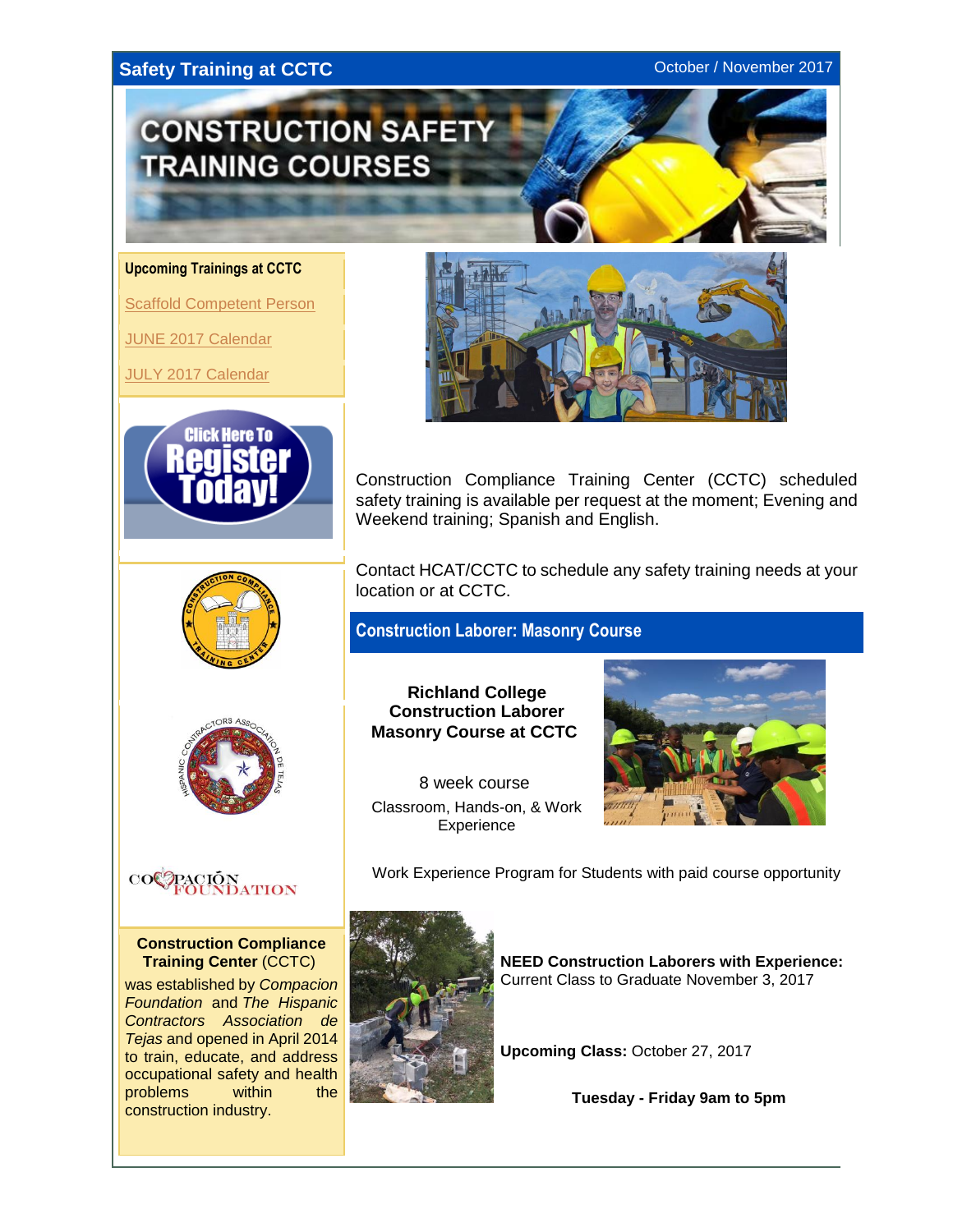### <span id="page-0-0"></span>**Safety Training at CCTC CONSISTENT CONSISTENT CONSISTENT CONSISTENT** CONSISTENT CONSISTENT CONSISTENT CONSISTENT CONSISTENT CONSISTENT CONSISTENT CONSISTENT CONSISTENT CONSISTENT CONSISTENT CONSISTENT CONSISTENT CONSIST



**Upcoming Trainings at CCTC**

**[Scaffold Competent Person](#page-0-0)** 

[JUNE 2017 Calendar](#page-1-0)

[JULY 2017 Calendar](#page-1-0)





Contact HCAT/CCTC to schedule any safety training needs at your location or at CCTC.

Construction Compliance Training Center (CCTC) scheduled

**Construction Laborer: Masonry Course**



 $\mathrm{co}\mathbb{C}$ 

**Construction Compliance Training Center** (CCTC)

was established by *Compacion Foundation* and *The Hispanic Contractors Association de Tejas* and opened in April 2014 to train, educate, and address occupational safety and health problems within the construction industry.

**Richland College Construction Laborer Masonry Course at CCTC**

8 week course Classroom, Hands-on, & Work **Experience** 



Work Experience Program for Students with paid course opportunity



**NEED Construction Laborers with Experience:** Current Class to Graduate November 3, 2017

**Upcoming Class:** October 27, 2017

**Tuesday - Friday 9am to 5pm**



safety training is available per request at the moment; Evening and Weekend training; Spanish and English.